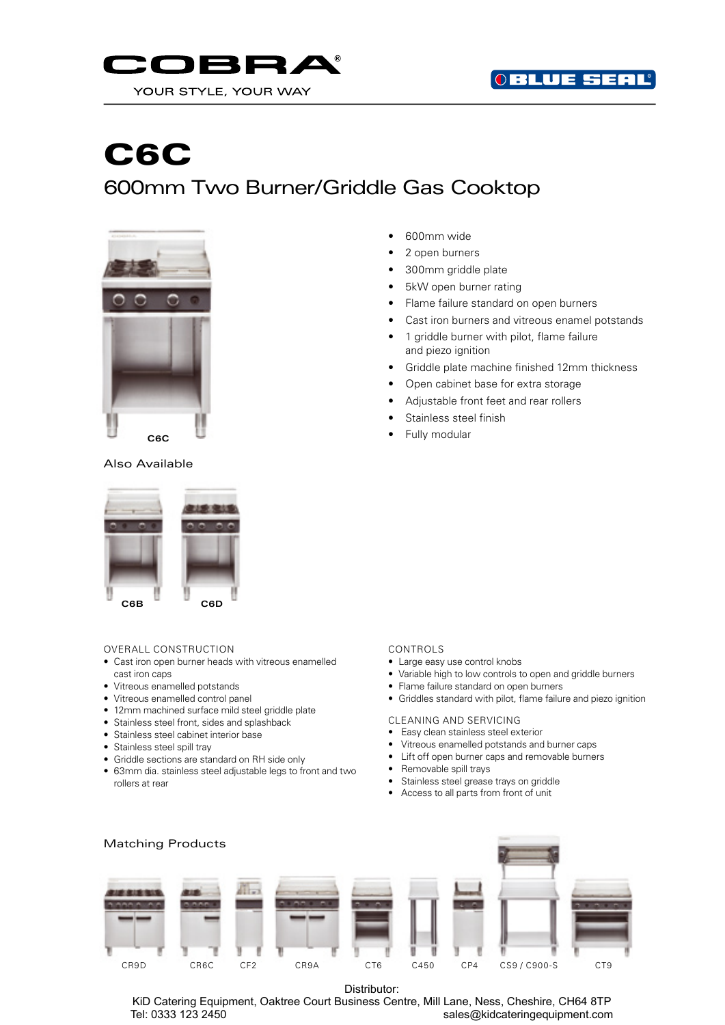



# C6C 600mm Two Burner/Griddle Gas Cooktop



## Also Available



#### OVERALL CONSTRUCTION

- Cast iron open burner heads with vitreous enamelled cast iron caps
- Vitreous enamelled potstands
- Vitreous enamelled control panel
- 12mm machined surface mild steel griddle plate
- Stainless steel front, sides and splashback
- Stainless steel cabinet interior base
- Stainless steel spill tray
- Griddle sections are standard on RH side only
- 63mm dia. stainless steel adjustable legs to front and two rollers at rear
- 600mm wide
- 2 open burners
- 300mm griddle plate
- 5kW open burner rating
- Flame failure standard on open burners
- Cast iron burners and vitreous enamel potstands
- 1 griddle burner with pilot, flame failure and piezo ignition
- Griddle plate machine finished 12mm thickness
- Open cabinet base for extra storage
- Adjustable front feet and rear rollers
- Stainless steel finish
- Fully modular

## CONTROLS

- Large easy use control knobs
- Variable high to low controls to open and griddle burners
- Flame failure standard on open burners
	- Griddles standard with pilot, flame failure and piezo ignition

### CLEANING AND SERVICING

- Easy clean stainless steel exterior
- Vitreous enamelled potstands and burner caps
- Lift off open burner caps and removable burners
- Removable spill trays
- Stainless steel grease trays on griddle
- Access to all parts from front of unit



Distributor:

KiD Catering Equipment, Oaktree Court Business Centre, Mill Lane, Ness, Cheshire, CH64 8TP Tel: 0333 123 2450 sales@kidcateringequipment.com